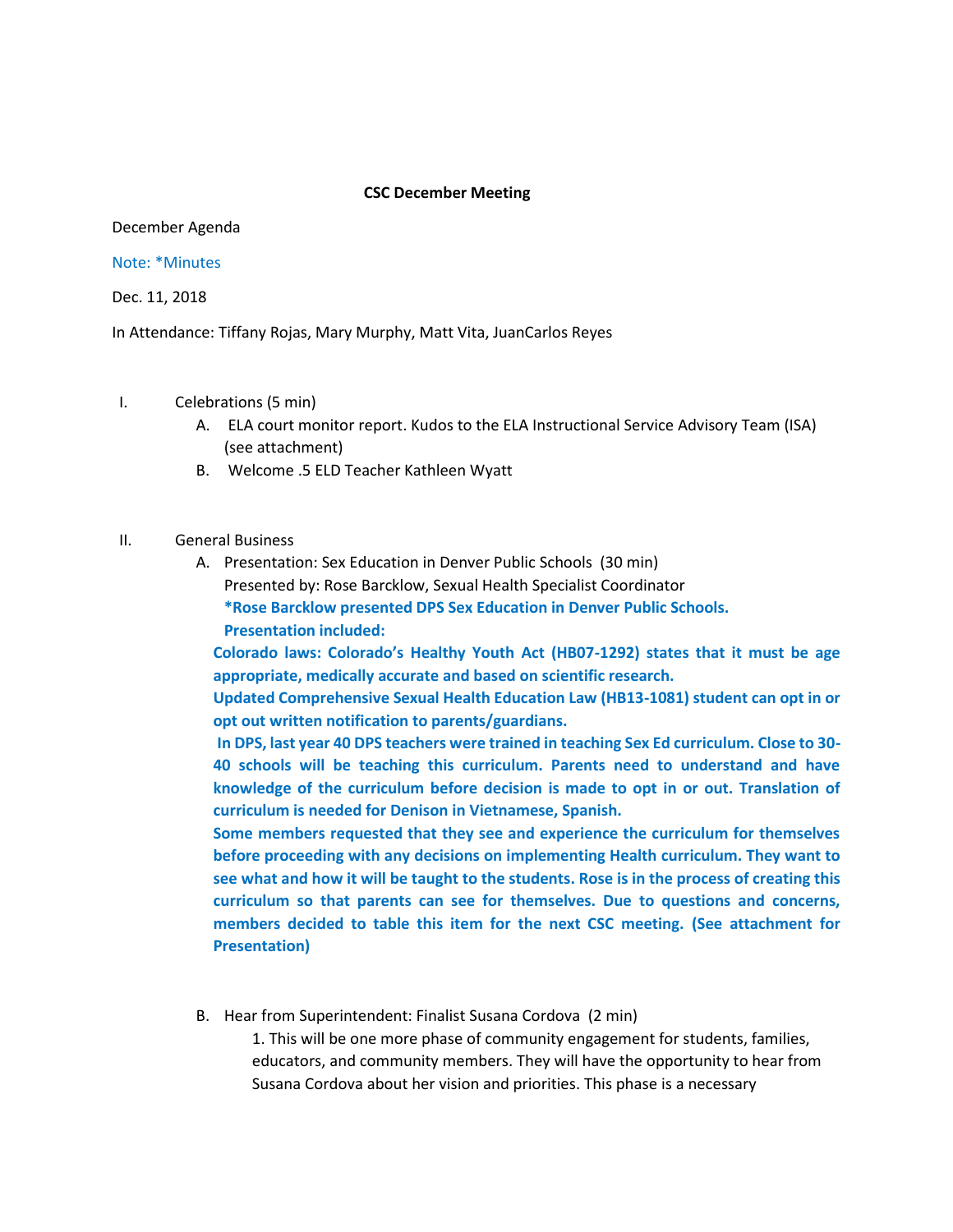#### **CSC December Meeting**

December Agenda

#### Note: \*Minutes

Dec. 11, 2018

In Attendance: Tiffany Rojas, Mary Murphy, Matt Vita, JuanCarlos Reyes

### I. Celebrations (5 min)

- A. ELA court monitor report. Kudos to the ELA Instructional Service Advisory Team (ISA) (see attachment)
- B. Welcome .5 ELD Teacher Kathleen Wyatt

## II. General Business

A. Presentation: Sex Education in Denver Public Schools (30 min) Presented by: Rose Barcklow, Sexual Health Specialist Coordinator **\*Rose Barcklow presented DPS Sex Education in Denver Public Schools. Presentation included:**

**Colorado laws: Colorado's Healthy Youth Act (HB07-1292) states that it must be age appropriate, medically accurate and based on scientific research.** 

**Updated Comprehensive Sexual Health Education Law (HB13-1081) student can opt in or opt out written notification to parents/guardians.** 

**In DPS, last year 40 DPS teachers were trained in teaching Sex Ed curriculum. Close to 30- 40 schools will be teaching this curriculum. Parents need to understand and have knowledge of the curriculum before decision is made to opt in or out. Translation of curriculum is needed for Denison in Vietnamese, Spanish.**

**Some members requested that they see and experience the curriculum for themselves before proceeding with any decisions on implementing Health curriculum. They want to see what and how it will be taught to the students. Rose is in the process of creating this curriculum so that parents can see for themselves. Due to questions and concerns, members decided to table this item for the next CSC meeting. (See attachment for Presentation)**

B. Hear from Superintendent: Finalist Susana Cordova (2 min)

1. This will be one more phase of community engagement for students, families, educators, and community members. They will have the opportunity to hear from Susana Cordova about her vision and priorities. This phase is a necessary